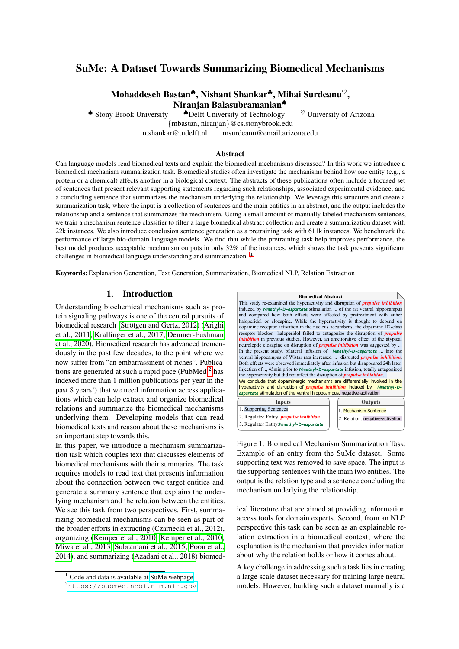# SuMe: A Dataset Towards Summarizing Biomedical Mechanisms

Mohaddeseh Bastan♠, Nishant Shankar♣, Mihai Surdeanu♡, Niranian Balasubramanian<sup>◆</sup>

• Stony Brook University  $\bullet$  Delft University of Technology  $\heartsuit$  University of Arizona

{mbastan, niranjan}@cs.stonybrook.edu

n.shankar@tudelft.nl msurdeanu@email.arizona.edu

#### Abstract

Can language models read biomedical texts and explain the biomedical mechanisms discussed? In this work we introduce a biomedical mechanism summarization task. Biomedical studies often investigate the mechanisms behind how one entity (e.g., a protein or a chemical) affects another in a biological context. The abstracts of these publications often include a focused set of sentences that present relevant supporting statements regarding such relationships, associated experimental evidence, and a concluding sentence that summarizes the mechanism underlying the relationship. We leverage this structure and create a summarization task, where the input is a collection of sentences and the main entities in an abstract, and the output includes the relationship and a sentence that summarizes the mechanism. Using a small amount of manually labeled mechanism sentences, we train a mechanism sentence classifier to filter a large biomedical abstract collection and create a summarization dataset with 22k instances. We also introduce conclusion sentence generation as a pretraining task with 611k instances. We benchmark the performance of large bio-domain language models. We find that while the pretraining task help improves performance, the best model produces acceptable mechanism outputs in only 32% of the instances, which shows the task presents significant challenges in biomedical language understanding and summarization.<sup>[1](#page-0-0)</sup>

Keywords: Explanation Generation, Text Generation, Summarization, Biomedical NLP, Relation Extraction

#### 1. Introduction

<span id="page-0-0"></span>Understanding biochemical mechanisms such as protein signaling pathways is one of the central pursuits of biomedical research (Strötgen and Gertz, 2012) [\(Arighi](#page-8-0) [et al., 2011;](#page-8-0) [Krallinger et al., 2017;](#page-8-1) [Demner-Fushman](#page-8-2) [et al., 2020\)](#page-8-2). Biomedical research has advanced tremendously in the past few decades, to the point where we now suffer from "an embarrassment of riches". Publications are generated at such a rapid pace (PubMed  $2$  has indexed more than 1 million publications per year in the past 8 years!) that we need information access applications which can help extract and organize biomedical relations and summarize the biomedical mechanisms underlying them. Developing models that can read biomedical texts and reason about these mechanisms is an important step towards this.

In this paper, we introduce a mechanism summarization task which couples text that discusses elements of biomedical mechanisms with their summaries. The task requires models to read text that presents information about the connection between two target entities and generate a summary sentence that explains the underlying mechanism and the relation between the entities. We see this task from two perspectives. First, summarizing biomedical mechanisms can be seen as part of the broader efforts in extracting [\(Czarnecki et al., 2012\)](#page-8-3), organizing [\(Kemper et al., 2010; Kemper et al., 2010;](#page-8-4) [Miwa et al., 2013;](#page-8-5) [Subramani et al., 2015;](#page-9-1) [Poon et al.,](#page-9-2) [2014\)](#page-9-2), and summarizing [\(Azadani et al., 2018\)](#page-8-6) biomed-



<span id="page-0-2"></span>Figure 1: Biomedical Mechanism Summarization Task: Example of an entry from the SuMe dataset. Some supporting text was removed to save space. The input is the supporting sentences with the main two entities. The output is the relation type and a sentence concluding the mechanism underlying the relationship.

3. Regulator Entity:*Nmethyl-D-aspartate*

2. Relation: negative-activation

ical literature that are aimed at providing information access tools for domain experts. Second, from an NLP perspective this task can be seen as an explainable relation extraction in a biomedical context, where the explanation is the mechanism that provides information about why the relation holds or how it comes about.

A key challenge in addressing such a task lies in creating a large scale dataset necessary for training large neural models. However, building such a dataset manually is a

 $1$  Code and data is available at [SuMe webpage](https://stonybrooknlp.github.io/SuMe/)

<span id="page-0-1"></span><sup>2</sup><https://pubmed.ncbi.nlm.nih.gov>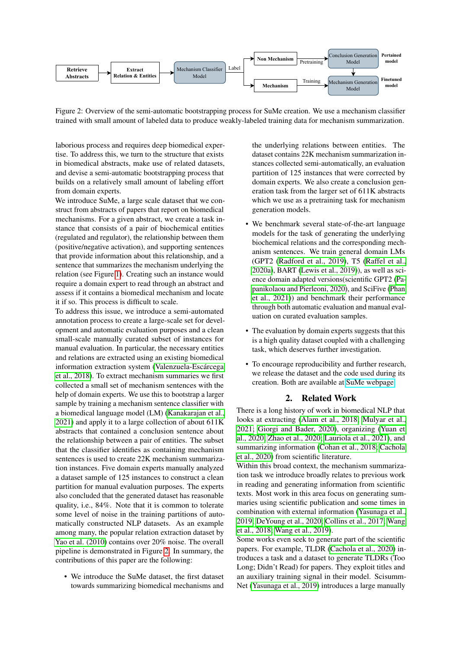

<span id="page-1-0"></span>Figure 2: Overview of the semi-automatic bootstrapping process for SuMe creation. We use a mechanism classifier trained with small amount of labeled data to produce weakly-labeled training data for mechanism summarization.

laborious process and requires deep biomedical expertise. To address this, we turn to the structure that exists in biomedical abstracts, make use of related datasets, and devise a semi-automatic bootstrapping process that builds on a relatively small amount of labeling effort from domain experts.

We introduce SuMe, a large scale dataset that we construct from abstracts of papers that report on biomedical mechanisms. For a given abstract, we create a task instance that consists of a pair of biochemical entities (regulated and regulator), the relationship between them (positive/negative activation), and supporting sentences that provide information about this relationship, and a sentence that summarizes the mechanism underlying the relation (see Figure [1\)](#page-0-2). Creating such an instance would require a domain expert to read through an abstract and assess if it contains a biomedical mechanism and locate it if so. This process is difficult to scale.

To address this issue, we introduce a semi-automated annotation process to create a large-scale set for development and automatic evaluation purposes and a clean small-scale manually curated subset of instances for manual evaluation. In particular, the necessary entities and relations are extracted using an existing biomedical information extraction system [\(Valenzuela-Escarcega](#page-9-3) ´ [et al., 2018\)](#page-9-3). To extract mechanism summaries we first collected a small set of mechanism sentences with the help of domain experts. We use this to bootstrap a larger sample by training a mechanism sentence classifier with a biomedical language model (LM) [\(Kanakarajan et al.,](#page-8-7) [2021\)](#page-8-7) and apply it to a large collection of about 611K abstracts that contained a conclusion sentence about the relationship between a pair of entities. The subset that the classifier identifies as containing mechanism sentences is used to create 22K mechanism summarization instances. Five domain experts manually analyzed a dataset sample of 125 instances to construct a clean partition for manual evaluation purposes. The experts also concluded that the generated dataset has reasonable quality, i.e., 84%. Note that it is common to tolerate some level of noise in the training partitions of automatically constructed NLP datasets. As an example among many, the popular relation extraction dataset by [Yao et al. \(2010\)](#page-9-4) contains over 20% noise. The overall pipeline is demonstrated in Figure [2.](#page-1-0) In summary, the contributions of this paper are the following:

• We introduce the SuMe dataset, the first dataset towards summarizing biomedical mechanisms and

the underlying relations between entities. The dataset contains 22K mechanism summarization instances collected semi-automatically, an evaluation partition of 125 instances that were corrected by domain experts. We also create a conclusion generation task from the larger set of 611K abstracts which we use as a pretraining task for mechanism generation models.

- We benchmark several state-of-the-art language models for the task of generating the underlying biochemical relations and the corresponding mechanism sentences. We train general domain LMs (GPT2 [\(Radford et al., 2019\)](#page-9-5), T5 [\(Raffel et al.,](#page-9-6) [2020a\)](#page-9-6), BART [\(Lewis et al., 2019\)](#page-8-8)), as well as science domain adapted versions(scientific GPT2 [\(Pa](#page-8-9)[panikolaou and Pierleoni, 2020\)](#page-8-9), and SciFive [\(Phan](#page-9-7) [et al., 2021\)](#page-9-7)) and benchmark their performance through both automatic evaluation and manual evaluation on curated evaluation samples.
- The evaluation by domain experts suggests that this is a high quality dataset coupled with a challenging task, which deserves further investigation.
- To encourage reproducibility and further research, we release the dataset and the code used during its creation. Both are available at [SuMe webpage.](https://stonybrooknlp.github.io/SuMe/)

# 2. Related Work

There is a long history of work in biomedical NLP that looks at extracting [\(Alam et al., 2018;](#page-8-10) [Mulyar et al.,](#page-8-11) [2021;](#page-8-11) [Giorgi and Bader, 2020\)](#page-8-12), organizing [\(Yuan et](#page-9-8) [al., 2020;](#page-9-8) [Zhao et al., 2020;](#page-9-9) [Lauriola et al., 2021\)](#page-8-13), and summarizing information [\(Cohan et al., 2018;](#page-8-14) [Cachola](#page-8-15) [et al., 2020\)](#page-8-15) from scientific literature.

Within this broad context, the mechanism summarization task we introduce broadly relates to previous work in reading and generating information from scientific texts. Most work in this area focus on generating summaries using scientific publication and some times in combination with external information [\(Yasunaga et al.,](#page-9-10) [2019;](#page-9-10) [DeYoung et al., 2020;](#page-8-16) [Collins et al., 2017;](#page-8-17) [Wang](#page-9-11) [et al., 2018;](#page-9-11) [Wang et al., 2019\)](#page-9-12).

Some works even seek to generate part of the scientific papers. For example, TLDR [\(Cachola et al., 2020\)](#page-8-15) introduces a task and a dataset to generate TLDRs (Too Long; Didn't Read) for papers. They exploit titles and an auxiliary training signal in their model. Scisumm-Net [\(Yasunaga et al., 2019\)](#page-9-10) introduces a large manually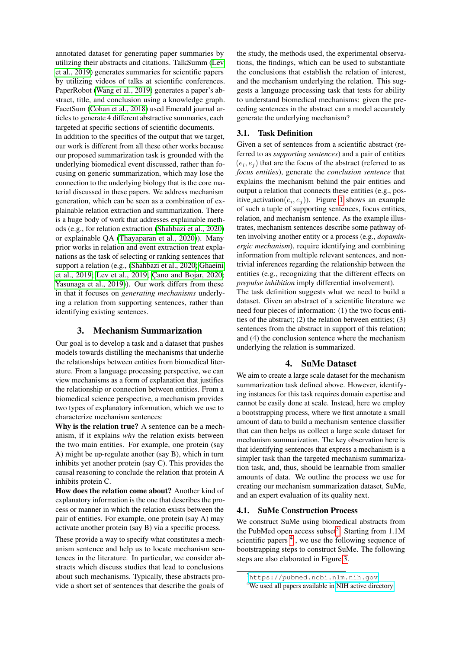annotated dataset for generating paper summaries by utilizing their abstracts and citations. TalkSumm [\(Lev](#page-8-18) [et al., 2019\)](#page-8-18) generates summaries for scientific papers by utilizing videos of talks at scientific conferences. PaperRobot [\(Wang et al., 2019\)](#page-9-12) generates a paper's abstract, title, and conclusion using a knowledge graph. FacetSum [\(Cohan et al., 2018\)](#page-8-14) used Emerald journal articles to generate 4 different abstractive summaries, each targeted at specific sections of scientific documents.

In addition to the specifics of the output that we target, our work is different from all these other works because our proposed summarization task is grounded with the underlying biomedical event discussed, rather than focusing on generic summarization, which may lose the connection to the underlying biology that is the core material discussed in these papers. We address mechanism generation, which can be seen as a combination of explainable relation extraction and summarization. There is a huge body of work that addresses explainable methods (e.g., for relation extraction [\(Shahbazi et al., 2020\)](#page-9-13) or explainable QA [\(Thayaparan et al., 2020\)](#page-9-14)). Many prior works in relation and event extraction treat explanations as the task of selecting or ranking sentences that support a relation (e.g., [\(Shahbazi et al., 2020;](#page-9-13) [Ghaeini](#page-8-19) [et al., 2019;](#page-8-19) [Lev et al., 2019;](#page-8-18) C[ano and Bojar, 2020;](#page-8-20) [Yasunaga et al., 2019\)](#page-9-10)). Our work differs from these in that it focuses on *generating mechanisms* underlying a relation from supporting sentences, rather than identifying existing sentences.

# 3. Mechanism Summarization

Our goal is to develop a task and a dataset that pushes models towards distilling the mechanisms that underlie the relationships between entities from biomedical literature. From a language processing perspective, we can view mechanisms as a form of explanation that justifies the relationship or connection between entities. From a biomedical science perspective, a mechanism provides two types of explanatory information, which we use to characterize mechanism sentences:

Why is the relation true? A sentence can be a mechanism, if it explains *why* the relation exists between the two main entities. For example, one protein (say A) might be up-regulate another (say B), which in turn inhibits yet another protein (say C). This provides the causal reasoning to conclude the relation that protein A inhibits protein C.

How does the relation come about? Another kind of explanatory information is the one that describes the process or manner in which the relation exists between the pair of entities. For example, one protein (say A) may activate another protein (say B) via a specific process.

These provide a way to specify what constitutes a mechanism sentence and help us to locate mechanism sentences in the literature. In particular, we consider abstracts which discuss studies that lead to conclusions about such mechanisms. Typically, these abstracts provide a short set of sentences that describe the goals of

the study, the methods used, the experimental observations, the findings, which can be used to substantiate the conclusions that establish the relation of interest, and the mechanism underlying the relation. This suggests a language processing task that tests for ability to understand biomedical mechanisms: given the preceding sentences in the abstract can a model accurately generate the underlying mechanism?

# 3.1. Task Definition

Given a set of sentences from a scientific abstract (referred to as *supporting sentences*) and a pair of entities  $(e_i, e_j)$  that are the focus of the abstract (referred to as *focus entities*), generate the *conclusion sentence* that explains the mechanism behind the pair entities and output a relation that connects these entities (e.g., positive\_activation $(e_i, e_j)$ ). Figure [1](#page-0-2) shows an example of such a tuple of supporting sentences, focus entities, relation, and mechanism sentence. As the example illustrates, mechanism sentences describe some pathway often involving another entity or a process (e.g., *dopaminergic mechanism*), require identifying and combining information from multiple relevant sentences, and nontrivial inferences regarding the relationship between the entities (e.g., recognizing that the different effects on *prepulse inhibition* imply differential involvement). The task definition suggests what we need to build a

dataset. Given an abstract of a scientific literature we need four pieces of information: (1) the two focus entities of the abstract; (2) the relation between entities; (3) sentences from the abstract in support of this relation; and (4) the conclusion sentence where the mechanism underlying the relation is summarized.

# 4. SuMe Dataset

We aim to create a large scale dataset for the mechanism summarization task defined above. However, identifying instances for this task requires domain expertise and cannot be easily done at scale. Instead, here we employ a bootstrapping process, where we first annotate a small amount of data to build a mechanism sentence classifier that can then helps us collect a large scale dataset for mechanism summarization. The key observation here is that identifying sentences that express a mechanism is a simpler task than the targeted mechanism summarization task, and, thus, should be learnable from smaller amounts of data. We outline the process we use for creating our mechanism summarization dataset, SuMe, and an expert evaluation of its quality next.

#### 4.1. SuMe Construction Process

We construct SuMe using biomedical abstracts from the PubMed open access subset<sup>[3](#page-2-0)</sup>. Starting from 1.1M scientific papers<sup>[4](#page-2-1)</sup>, we use the following sequence of bootstrapping steps to construct SuMe. The following steps are also elaborated in Figure [3.](#page-3-0)

<span id="page-2-0"></span><sup>3</sup><https://pubmed.ncbi.nlm.nih.gov>

<span id="page-2-1"></span><sup>&</sup>lt;sup>4</sup>We used all papers available in [NIH active directory](https://ftp.ncbi.nlm.nih.gov/pubmed/baseline/)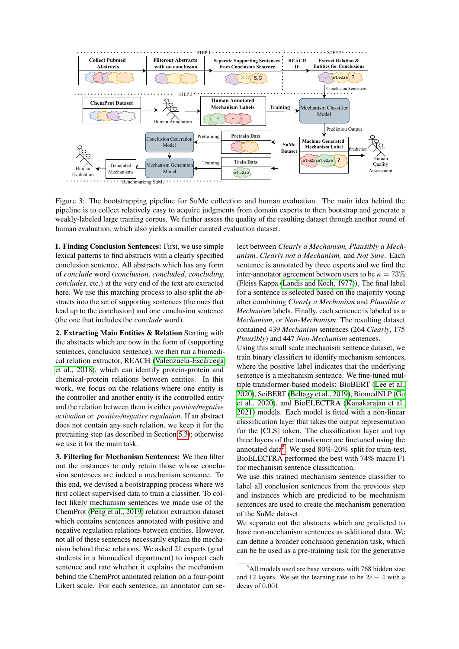

<span id="page-3-0"></span>Figure 3: The bootstrapping pipeline for SuMe collection and human evaluation. The main idea behind the pipeline is to collect relatively easy to acquire judgments from domain experts to then bootstrap and generate a weakly-labeled large training corpus. We further assess the quality of the resulting dataset through another round of human evaluation, which also yields a smaller curated evaluation dataset.

1. Finding Conclusion Sentences: First, we use simple lexical patterns to find abstracts with a clearly specified conclusion sentence. All abstracts which has any form of *conclude* word (*conclusion, concluded, concluding, concludes*, etc.) at the very end of the text are extracted here. We use this matching process to also split the abstracts into the set of supporting sentences (the ones that lead up to the conclusion) and one conclusion sentence (the one that includes the *conclude* word).

2. Extracting Main Entities & Relation Starting with the abstracts which are now in the form of (supporting sentences, conclusion sentence), we then run a biomedical relation extractor, REACH (Valenzuela-Escárcega [et al., 2018\)](#page-9-3), which can identify protein-protein and chemical-protein relations between entities. In this work, we focus on the relations where one entity is the controller and another entity is the controlled entity and the relation between them is either *positive/negative activation* or *positive/negative regulation*. If an abstract does not contain any such relation, we keep it for the pretraining step (as described in Section [5.3\)](#page-5-0); otherwise we use it for the main task.

3. Filtering for Mechanism Sentences: We then filter out the instances to only retain those whose conclusion sentences are indeed a mechanism sentence. To this end, we devised a bootstrapping process where we first collect supervised data to train a classifier. To collect likely mechanism sentences we made use of the ChemProt [\(Peng et al., 2019\)](#page-9-15) relation extraction dataset which contains sentences annotated with positive and negative regulation relations between entities. However, not all of these sentences necessarily explain the mechanism behind these relations. We asked 21 experts (grad students in a biomedical department) to inspect each sentence and rate whether it explains the mechanism behind the ChemProt annotated relation on a four-point Likert scale. For each sentence, an annotator can se-

lect between *Clearly a Mechanism, Plausibly a Mechanism, Clearly not a Mechanism,* and *Not Sure.* Each sentence is annotated by three experts and we find the inter-annotator agreement between users to be  $\kappa = 73\%$ (Fleiss Kappa [\(Landis and Koch, 1977\)](#page-8-21)). The final label for a sentence is selected based on the majority voting after combining *Clearly a Mechanism* and *Plausible a Mechanism* labels. Finally, each sentence is labeled as a *Mechanism*, or *Non-Mechanism*. The resulting dataset contained 439 *Mechanism* sentences (264 *Clearly*, 175 *Plausibly*) and 447 *Non-Mechanism* sentences.

Using this small scale mechanism sentence dataset, we train binary classifiers to identify mechanism sentences, where the positive label indicates that the underlying sentence is a mechanism sentence. We fine-tuned multiple transformer-based models: BioBERT [\(Lee et al.,](#page-8-22) [2020\)](#page-8-22), SciBERT [\(Beltagy et al., 2019\)](#page-8-23), BiomedNLP [\(Gu](#page-8-24) [et al., 2020\)](#page-8-24), and BioELECTRA [\(Kanakarajan et al.,](#page-8-7) [2021\)](#page-8-7) models. Each model is fitted with a non-linear classification layer that takes the output representation for the [CLS] token. The classification layer and top three layers of the transformer are finetuned using the annotated data<sup>[5](#page-3-1)</sup>. We used 80%-20% split for train-test. BioELECTRA performed the best with 74% macro F1 for mechanism sentence classification.

We use this trained mechanism sentence classifier to label all conclusion sentences from the previous step and instances which are predicted to be mechanism sentences are used to create the mechanism generation of the SuMe dataset.

We separate out the abstracts which are predicted to have non-mechanism sentences as additional data. We can define a broader conclusion generation task, which can be be used as a pre-training task for the generative

<span id="page-3-1"></span> $5$ All models used are base versions with 768 hidden size and 12 layers. We set the learning rate to be  $2e - 4$  with a decay of 0.001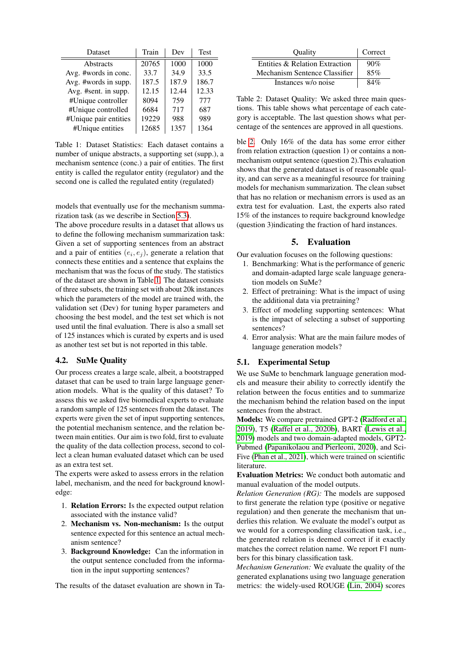| Dataset               | Train | Dev   | <b>Test</b> |
|-----------------------|-------|-------|-------------|
| Abstracts             | 20765 | 1000  | 1000        |
| Avg. #words in conc.  | 33.7  | 34.9  | 33.5        |
| Avg. #words in supp.  | 187.5 | 187.9 | 186.7       |
| Avg. #sent. in supp.  | 12.15 | 12.44 | 12.33       |
| #Unique controller    | 8094  | 759   | 777         |
| #Unique controlled    | 6684  | 717   | 687         |
| #Unique pair entities | 19229 | 988   | 989         |
| #Unique entities      | 12685 | 1357  | 1364        |

<span id="page-4-0"></span>Table 1: Dataset Statistics: Each dataset contains a number of unique abstracts, a supporting set (supp.), a mechanism sentence (conc.) a pair of entities. The first entity is called the regulator entity (regulator) and the second one is called the regulated entity (regulated)

models that eventually use for the mechanism summarization task (as we describe in Section [5.3\)](#page-5-0).

The above procedure results in a dataset that allows us to define the following mechanism summarization task: Given a set of supporting sentences from an abstract and a pair of entities  $(e_i, e_j)$ , generate a relation that connects these entities and a sentence that explains the mechanism that was the focus of the study. The statistics of the dataset are shown in Table [1.](#page-4-0) The dataset consists of three subsets, the training set with about 20k instances which the parameters of the model are trained with, the validation set (Dev) for tuning hyper parameters and choosing the best model, and the test set which is not used until the final evaluation. There is also a small set of 125 instances which is curated by experts and is used as another test set but is not reported in this table.

#### 4.2. SuMe Quality

Our process creates a large scale, albeit, a bootstrapped dataset that can be used to train large language generation models. What is the quality of this dataset? To assess this we asked five biomedical experts to evaluate a random sample of 125 sentences from the dataset. The experts were given the set of input supporting sentences, the potential mechanism sentence, and the relation between main entities. Our aim is two fold, first to evaluate the quality of the data collection process, second to collect a clean human evaluated dataset which can be used as an extra test set.

The experts were asked to assess errors in the relation label, mechanism, and the need for background knowledge:

- 1. Relation Errors: Is the expected output relation associated with the instance valid?
- 2. Mechanism vs. Non-mechanism: Is the output sentence expected for this sentence an actual mechanism sentence?
- 3. Background Knowledge: Can the information in the output sentence concluded from the information in the input supporting sentences?

The results of the dataset evaluation are shown in Ta-

| Quality                        | Correct |
|--------------------------------|---------|
| Entities & Relation Extraction | 90%     |
| Mechanism Sentence Classifier  | 85%     |
| Instances w/o noise            | 84%     |

<span id="page-4-1"></span>Table 2: Dataset Quality: We asked three main questions. This table shows what percentage of each category is acceptable. The last question shows what percentage of the sentences are approved in all questions.

ble [2.](#page-4-1) Only 16% of the data has some error either from relation extraction (question 1) or contains a nonmechanism output sentence (question 2).This evaluation shows that the generated dataset is of reasonable quality, and can serve as a meaningful resource for training models for mechanism summarization. The clean subset that has no relation or mechanism errors is used as an extra test for evaluation. Last, the experts also rated 15% of the instances to require background knowledge (question 3)indicating the fraction of hard instances.

## 5. Evaluation

Our evaluation focuses on the following questions:

- 1. Benchmarking: What is the performance of generic and domain-adapted large scale language generation models on SuMe?
- 2. Effect of pretraining: What is the impact of using the additional data via pretraining?
- 3. Effect of modeling supporting sentences: What is the impact of selecting a subset of supporting sentences?
- 4. Error analysis: What are the main failure modes of language generation models?

#### 5.1. Experimental Setup

We use SuMe to benchmark language generation models and measure their ability to correctly identify the relation between the focus entities and to summarize the mechanism behind the relation based on the input sentences from the abstract.

Models: We compare pretrained GPT-2 [\(Radford et al.,](#page-9-5) [2019\)](#page-9-5), T5 [\(Raffel et al., 2020b\)](#page-9-16), BART [\(Lewis et al.,](#page-8-8) [2019\)](#page-8-8) models and two domain-adapted models, GPT2- Pubmed [\(Papanikolaou and Pierleoni, 2020\)](#page-8-9), and Sci-Five [\(Phan et al., 2021\)](#page-9-7), which were trained on scientific literature.

Evaluation Metrics: We conduct both automatic and manual evaluation of the model outputs.

*Relation Generation (RG):* The models are supposed to first generate the relation type (positive or negative regulation) and then generate the mechanism that underlies this relation. We evaluate the model's output as we would for a corresponding classification task, i.e., the generated relation is deemed correct if it exactly matches the correct relation name. We report F1 numbers for this binary classification task.

*Mechanism Generation:* We evaluate the quality of the generated explanations using two language generation metrics: the widely-used ROUGE [\(Lin, 2004\)](#page-8-25) scores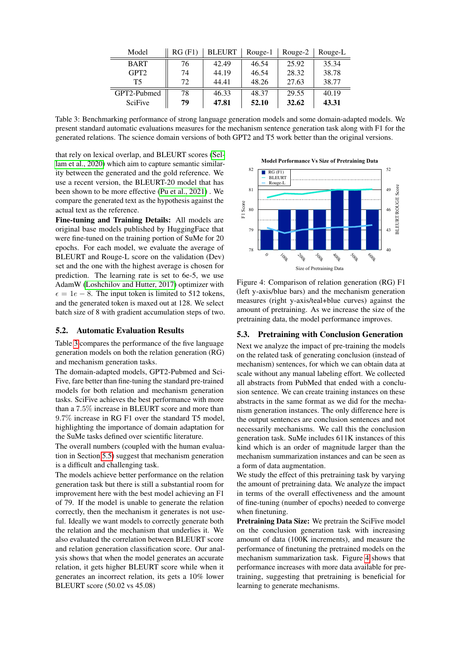| Model            | RG(F1) | <b>BLEURT</b> | Rouge-1 | Rouge-2 | Rouge-L |
|------------------|--------|---------------|---------|---------|---------|
| <b>BART</b>      | 76     | 42.49         | 46.54   | 25.92   | 35.34   |
| GPT <sub>2</sub> | 74     | 44.19         | 46.54   | 28.32   | 38.78   |
| T5               | 72     | 44.41         | 48.26   | 27.63   | 38.77   |
| GPT2-Pubmed      | 78     | 46.33         | 48.37   | 29.55   | 40.19   |
| <b>SciFive</b>   | 79     | 47.81         | 52.10   | 32.62   | 43.31   |

<span id="page-5-1"></span>Table 3: Benchmarking performance of strong language generation models and some domain-adapted models. We present standard automatic evaluations measures for the mechanism sentence generation task along with F1 for the generated relations. The science domain versions of both GPT2 and T5 work better than the original versions.

that rely on lexical overlap, and BLEURT scores [\(Sel](#page-9-17)[lam et al., 2020\)](#page-9-17) which aim to capture semantic similarity between the generated and the gold reference. We use a recent version, the BLEURT-20 model that has been shown to be more effective [\(Pu et al., 2021\)](#page-9-18) . We compare the generated text as the hypothesis against the actual text as the reference.

Fine-tuning and Training Details: All models are original base models published by HuggingFace that were fine-tuned on the training portion of SuMe for 20 epochs. For each model, we evaluate the average of BLEURT and Rouge-L score on the validation (Dev) set and the one with the highest average is chosen for prediction. The learning rate is set to 6e-5, we use AdamW [\(Loshchilov and Hutter, 2017\)](#page-8-26) optimizer with  $\epsilon = 1e - 8$ . The input token is limited to 512 tokens, and the generated token is maxed out at 128. We select batch size of 8 with gradient accumulation steps of two.

#### 5.2. Automatic Evaluation Results

Table [3](#page-5-1) compares the performance of the five language generation models on both the relation generation (RG) and mechanism generation tasks.

The domain-adapted models, GPT2-Pubmed and Sci-Five, fare better than fine-tuning the standard pre-trained models for both relation and mechanism generation tasks. SciFive achieves the best performance with more than a 7.5% increase in BLEURT score and more than 9.7% increase in RG F1 over the standard T5 model, highlighting the importance of domain adaptation for the SuMe tasks defined over scientific literature.

The overall numbers (coupled with the human evaluation in Section [5.5\)](#page-6-0) suggest that mechanism generation is a difficult and challenging task.

The models achieve better performance on the relation generation task but there is still a substantial room for improvement here with the best model achieving an F1 of 79. If the model is unable to generate the relation correctly, then the mechanism it generates is not useful. Ideally we want models to correctly generate both the relation and the mechanism that underlies it. We also evaluated the correlation between BLEURT score and relation generation classification score. Our analysis shows that when the model generates an accurate relation, it gets higher BLEURT score while when it generates an incorrect relation, its gets a 10% lower BLEURT score (50.02 vs 45.08)



<span id="page-5-2"></span>Figure 4: Comparison of relation generation (RG) F1 (left y-axis/blue bars) and the mechanism generation measures (right y-axis/teal+blue curves) against the amount of pretraining. As we increase the size of the pretraining data, the model performance improves.

#### <span id="page-5-0"></span>5.3. Pretraining with Conclusion Generation

Next we analyze the impact of pre-training the models on the related task of generating conclusion (instead of mechanism) sentences, for which we can obtain data at scale without any manual labeling effort. We collected all abstracts from PubMed that ended with a conclusion sentence. We can create training instances on these abstracts in the same format as we did for the mechanism generation instances. The only difference here is the output sentences are conclusion sentences and not necessarily mechanisms. We call this the conclusion generation task. SuMe includes 611K instances of this kind which is an order of magnitude larger than the mechanism summarization instances and can be seen as a form of data augmentation.

We study the effect of this pretraining task by varying the amount of pretraining data. We analyze the impact in terms of the overall effectiveness and the amount of fine-tuning (number of epochs) needed to converge when finetuning.

Pretraining Data Size: We pretrain the SciFive model on the conclusion generation task with increasing amount of data (100K increments), and measure the performance of finetuning the pretrained models on the mechanism summarization task. Figure [4](#page-5-2) shows that performance increases with more data available for pretraining, suggesting that pretraining is beneficial for learning to generate mechanisms.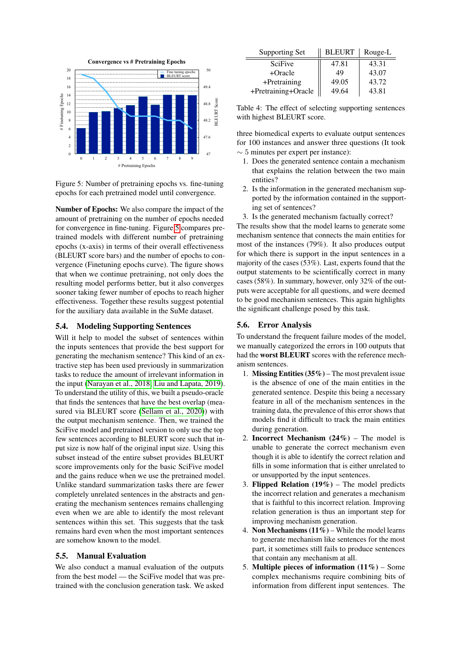

<span id="page-6-1"></span>Figure 5: Number of pretraining epochs vs. fine-tuning epochs for each pretrained model until convergence.

Number of Epochs: We also compare the impact of the amount of pretraining on the number of epochs needed for convergence in fine-tuning. Figure [5](#page-6-1) compares pretrained models with different number of pretraining epochs (x-axis) in terms of their overall effectiveness (BLEURT score bars) and the number of epochs to convergence (Finetuning epochs curve). The figure shows that when we continue pretraining, not only does the resulting model performs better, but it also converges sooner taking fewer number of epochs to reach higher effectiveness. Together these results suggest potential for the auxiliary data available in the SuMe dataset.

## 5.4. Modeling Supporting Sentences

Will it help to model the subset of sentences within the inputs sentences that provide the best support for generating the mechanism sentence? This kind of an extractive step has been used previously in summarization tasks to reduce the amount of irrelevant information in the input [\(Narayan et al., 2018;](#page-8-27) [Liu and Lapata, 2019\)](#page-8-28). To understand the utility of this, we built a pseudo-oracle that finds the sentences that have the best overlap (measured via BLEURT score [\(Sellam et al., 2020\)](#page-9-17)) with the output mechanism sentence. Then, we trained the SciFive model and pretrained version to only use the top few sentences according to BLEURT score such that input size is now half of the original input size. Using this subset instead of the entire subset provides BLEURT score improvements only for the basic SciFive model and the gains reduce when we use the pretrained model. Unlike standard summarization tasks there are fewer completely unrelated sentences in the abstracts and generating the mechanism sentences remains challenging even when we are able to identify the most relevant sentences within this set. This suggests that the task remains hard even when the most important sentences are somehow known to the model.

# <span id="page-6-0"></span>5.5. Manual Evaluation

We also conduct a manual evaluation of the outputs from the best model — the SciFive model that was pretrained with the conclusion generation task. We asked

| Supporting Set      | <b>BLEURT</b> | Rouge-L |
|---------------------|---------------|---------|
| <b>SciFive</b>      | 47.81         | 43.31   |
| +Oracle             | 49            | 43.07   |
| +Pretraining        | 49.05         | 43.72   |
| +Pretraining+Oracle | 49.64         | 43.81   |

Table 4: The effect of selecting supporting sentences with highest BLEURT score.

three biomedical experts to evaluate output sentences for 100 instances and answer three questions (It took  $\sim$  5 minutes per expert per instance):

- 1. Does the generated sentence contain a mechanism that explains the relation between the two main entities?
- 2. Is the information in the generated mechanism supported by the information contained in the supporting set of sentences?
- 3. Is the generated mechanism factually correct?

The results show that the model learns to generate some mechanism sentence that connects the main entities for most of the instances (79%). It also produces output for which there is support in the input sentences in a majority of the cases (53%). Last, experts found that the output statements to be scientifically correct in many cases (58%). In summary, however, only 32% of the outputs were acceptable for all questions, and were deemed to be good mechanism sentences. This again highlights the significant challenge posed by this task.

#### 5.6. Error Analysis

To understand the frequent failure modes of the model, we manually categorized the errors in 100 outputs that had the worst BLEURT scores with the reference mechanism sentences.

- 1. Missing Entities  $(35\%)$  The most prevalent issue is the absence of one of the main entities in the generated sentence. Despite this being a necessary feature in all of the mechanism sentences in the training data, the prevalence of this error shows that models find it difficult to track the main entities during generation.
- 2. **Incorrect Mechanism**  $(24\%)$  The model is unable to generate the correct mechanism even though it is able to identify the correct relation and fills in some information that is either unrelated to or unsupported by the input sentences.
- 3. Flipped Relation  $(19\%)$  The model predicts the incorrect relation and generates a mechanism that is faithful to this incorrect relation. Improving relation generation is thus an important step for improving mechanism generation.
- 4. Non Mechanisms  $(11\%)$  While the model learns to generate mechanism like sentences for the most part, it sometimes still fails to produce sentences that contain any mechanism at all.
- 5. Multiple pieces of information  $(11\%)$  Some complex mechanisms require combining bits of information from different input sentences. The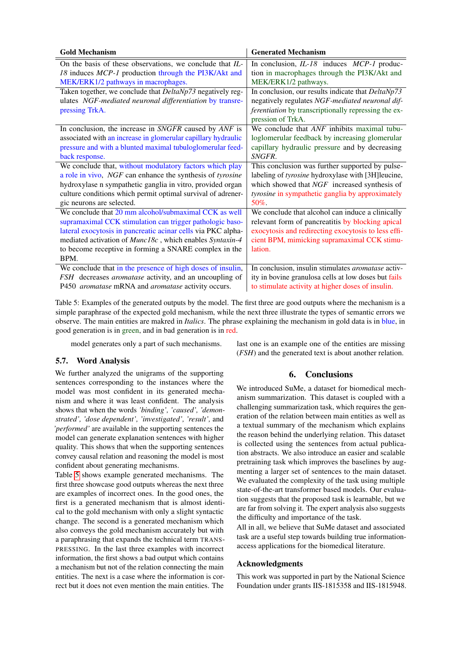| <b>Gold Mechanism</b>                                             | <b>Generated Mechanism</b>                                  |
|-------------------------------------------------------------------|-------------------------------------------------------------|
| On the basis of these observations, we conclude that IL-          | In conclusion, $IL-18$ induces $MCP-1$ produc-              |
| 18 induces MCP-1 production through the PI3K/Akt and              | tion in macrophages through the PI3K/Akt and                |
| MEK/ERK1/2 pathways in macrophages.                               | MEK/ERK1/2 pathways.                                        |
| Taken together, we conclude that <i>DeltaNp73</i> negatively reg- | In conclusion, our results indicate that DeltaNp73          |
| ulates NGF-mediated neuronal differentiation by transre-          | negatively regulates NGF-mediated neuronal dif-             |
| pressing TrkA.                                                    | <i>ferentiation</i> by transcriptionally repressing the ex- |
|                                                                   | pression of TrkA.                                           |
| In conclusion, the increase in SNGFR caused by ANF is             | We conclude that <i>ANF</i> inhibits maximal tubu-          |
| associated with an increase in glomerular capillary hydraulic     | loglomerular feedback by increasing glomerular              |
| pressure and with a blunted maximal tubuloglomerular feed-        | capillary hydraulic pressure and by decreasing              |
| back response.                                                    | SNGFR.                                                      |
| We conclude that, without modulatory factors which play           | This conclusion was further supported by pulse-             |
| a role in vivo, NGF can enhance the synthesis of tyrosine         | labeling of tyrosine hydroxylase with [3H]leucine,          |
| hydroxylase n sympathetic ganglia in vitro, provided organ        | which showed that NGF increased synthesis of                |
| culture conditions which permit optimal survival of adrener-      | tyrosine in sympathetic ganglia by approximately            |
| gic neurons are selected.                                         | $50\%$ .                                                    |
| We conclude that 20 mm alcohol/submaximal CCK as well             | We conclude that alcohol can induce a clinically            |
| supramaximal CCK stimulation can trigger pathologic baso-         | relevant form of pancreatitis by blocking apical            |
| lateral exocytosis in pancreatic acinar cells via PKC alpha-      | exocytosis and redirecting exocytosis to less effi-         |
| mediated activation of Munc18c, which enables Syntaxin-4          | cient BPM, mimicking supramaximal CCK stimu-                |
| to become receptive in forming a SNARE complex in the             | lation.                                                     |
| BPM.                                                              |                                                             |
| We conclude that in the presence of high doses of insulin,        | In conclusion, insulin stimulates aromatase activ-          |
| FSH decreases aromatase activity, and an uncoupling of            | ity in bovine granulosa cells at low doses but fails        |
| P450 aromatase mRNA and aromatase activity occurs.                | to stimulate activity at higher doses of insulin.           |

<span id="page-7-0"></span>Table 5: Examples of the generated outputs by the model. The first three are good outputs where the mechanism is a simple paraphrase of the expected gold mechanism, while the next three illustrate the types of semantic errors we observe. The main entities are makred in *Italics*. The phrase explaining the mechanism in gold data is in blue, in good generation is in green, and in bad generation is in red.

model generates only a part of such mechanisms.

#### 5.7. Word Analysis

We further analyzed the unigrams of the supporting sentences corresponding to the instances where the model was most confident in its generated mechanism and where it was least confident. The analysis shows that when the words *'binding', 'caused', 'demonstrated', 'dose dependent', 'investigated', 'result',* and *'performed'* are available in the supporting sentences the model can generate explanation sentences with higher quality. This shows that when the supporting sentences convey causal relation and reasoning the model is most confident about generating mechanisms.

Table [5](#page-7-0) shows example generated mechanisms. The first three showcase good outputs whereas the next three are examples of incorrect ones. In the good ones, the first is a generated mechanism that is almost identical to the gold mechanism with only a slight syntactic change. The second is a generated mechanism which also conveys the gold mechanism accurately but with a paraphrasing that expands the technical term TRANS-PRESSING. In the last three examples with incorrect information, the first shows a bad output which contains a mechanism but not of the relation connecting the main entities. The next is a case where the information is correct but it does not even mention the main entities. The last one is an example one of the entities are missing (*FSH*) and the generated text is about another relation.

# 6. Conclusions

We introduced SuMe, a dataset for biomedical mechanism summarization. This dataset is coupled with a challenging summarization task, which requires the generation of the relation between main entities as well as a textual summary of the mechanism which explains the reason behind the underlying relation. This dataset is collected using the sentences from actual publication abstracts. We also introduce an easier and scalable pretraining task which improves the baselines by augmenting a larger set of sentences to the main dataset. We evaluated the complexity of the task using multiple state-of-the-art transformer based models. Our evaluation suggests that the proposed task is learnable, but we are far from solving it. The expert analysis also suggests the difficulty and importance of the task.

All in all, we believe that SuMe dataset and associated task are a useful step towards building true informationaccess applications for the biomedical literature.

#### Acknowledgments

This work was supported in part by the National Science Foundation under grants IIS-1815358 and IIS-1815948.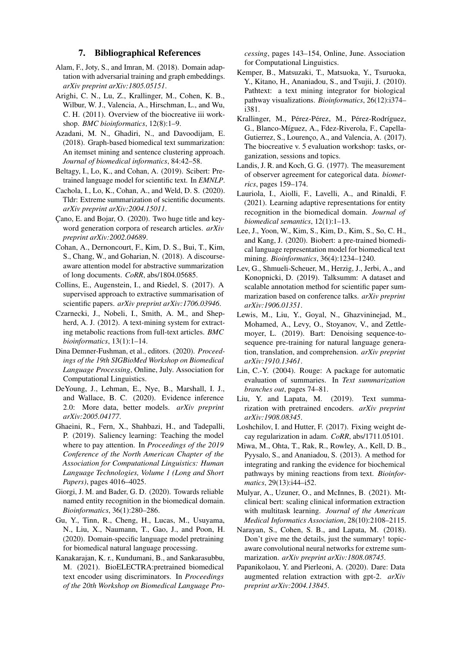#### 7. Bibliographical References

- <span id="page-8-10"></span>Alam, F., Joty, S., and Imran, M. (2018). Domain adaptation with adversarial training and graph embeddings. *arXiv preprint arXiv:1805.05151*.
- <span id="page-8-0"></span>Arighi, C. N., Lu, Z., Krallinger, M., Cohen, K. B., Wilbur, W. J., Valencia, A., Hirschman, L., and Wu, C. H. (2011). Overview of the biocreative iii workshop. *BMC bioinformatics*, 12(8):1–9.
- <span id="page-8-6"></span>Azadani, M. N., Ghadiri, N., and Davoodijam, E. (2018). Graph-based biomedical text summarization: An itemset mining and sentence clustering approach. *Journal of biomedical informatics*, 84:42–58.
- <span id="page-8-23"></span>Beltagy, I., Lo, K., and Cohan, A. (2019). Scibert: Pretrained language model for scientific text. In *EMNLP*.
- <span id="page-8-15"></span>Cachola, I., Lo, K., Cohan, A., and Weld, D. S. (2020). Tldr: Extreme summarization of scientific documents. *arXiv preprint arXiv:2004.15011*.
- <span id="page-8-20"></span>Cano, E. and Bojar, O. (2020). Two huge title and keyword generation corpora of research articles. *arXiv preprint arXiv:2002.04689*.
- <span id="page-8-14"></span>Cohan, A., Dernoncourt, F., Kim, D. S., Bui, T., Kim, S., Chang, W., and Goharian, N. (2018). A discourseaware attention model for abstractive summarization of long documents. *CoRR*, abs/1804.05685.
- <span id="page-8-17"></span>Collins, E., Augenstein, I., and Riedel, S. (2017). A supervised approach to extractive summarisation of scientific papers. *arXiv preprint arXiv:1706.03946*.
- <span id="page-8-3"></span>Czarnecki, J., Nobeli, I., Smith, A. M., and Shepherd, A. J. (2012). A text-mining system for extracting metabolic reactions from full-text articles. *BMC bioinformatics*, 13(1):1–14.
- <span id="page-8-2"></span>Dina Demner-Fushman, et al., editors. (2020). *Proceedings of the 19th SIGBioMed Workshop on Biomedical Language Processing*, Online, July. Association for Computational Linguistics.
- <span id="page-8-16"></span>DeYoung, J., Lehman, E., Nye, B., Marshall, I. J., and Wallace, B. C. (2020). Evidence inference 2.0: More data, better models. *arXiv preprint arXiv:2005.04177*.
- <span id="page-8-19"></span>Ghaeini, R., Fern, X., Shahbazi, H., and Tadepalli, P. (2019). Saliency learning: Teaching the model where to pay attention. In *Proceedings of the 2019 Conference of the North American Chapter of the Association for Computational Linguistics: Human Language Technologies, Volume 1 (Long and Short Papers)*, pages 4016–4025.
- <span id="page-8-12"></span>Giorgi, J. M. and Bader, G. D. (2020). Towards reliable named entity recognition in the biomedical domain. *Bioinformatics*, 36(1):280–286.
- <span id="page-8-24"></span>Gu, Y., Tinn, R., Cheng, H., Lucas, M., Usuyama, N., Liu, X., Naumann, T., Gao, J., and Poon, H. (2020). Domain-specific language model pretraining for biomedical natural language processing.
- <span id="page-8-7"></span>Kanakarajan, K. r., Kundumani, B., and Sankarasubbu, M. (2021). BioELECTRA:pretrained biomedical text encoder using discriminators. In *Proceedings of the 20th Workshop on Biomedical Language Pro-*

*cessing*, pages 143–154, Online, June. Association for Computational Linguistics.

- <span id="page-8-4"></span>Kemper, B., Matsuzaki, T., Matsuoka, Y., Tsuruoka, Y., Kitano, H., Ananiadou, S., and Tsujii, J. (2010). Pathtext: a text mining integrator for biological pathway visualizations. *Bioinformatics*, 26(12):i374– i381.
- <span id="page-8-1"></span>Krallinger, M., Pérez-Pérez, M., Pérez-Rodríguez, G., Blanco-Míguez, A., Fdez-Riverola, F., Capella-Gutierrez, S., Lourenço, A., and Valencia, A. (2017). The biocreative v. 5 evaluation workshop: tasks, organization, sessions and topics.
- <span id="page-8-21"></span>Landis, J. R. and Koch, G. G. (1977). The measurement of observer agreement for categorical data. *biometrics*, pages 159–174.
- <span id="page-8-13"></span>Lauriola, I., Aiolli, F., Lavelli, A., and Rinaldi, F. (2021). Learning adaptive representations for entity recognition in the biomedical domain. *Journal of biomedical semantics*, 12(1):1–13.
- <span id="page-8-22"></span>Lee, J., Yoon, W., Kim, S., Kim, D., Kim, S., So, C. H., and Kang, J. (2020). Biobert: a pre-trained biomedical language representation model for biomedical text mining. *Bioinformatics*, 36(4):1234–1240.
- <span id="page-8-18"></span>Lev, G., Shmueli-Scheuer, M., Herzig, J., Jerbi, A., and Konopnicki, D. (2019). Talksumm: A dataset and scalable annotation method for scientific paper summarization based on conference talks. *arXiv preprint arXiv:1906.01351*.
- <span id="page-8-8"></span>Lewis, M., Liu, Y., Goyal, N., Ghazvininejad, M., Mohamed, A., Levy, O., Stoyanov, V., and Zettlemoyer, L. (2019). Bart: Denoising sequence-tosequence pre-training for natural language generation, translation, and comprehension. *arXiv preprint arXiv:1910.13461*.
- <span id="page-8-25"></span>Lin, C.-Y. (2004). Rouge: A package for automatic evaluation of summaries. In *Text summarization branches out*, pages 74–81.
- <span id="page-8-28"></span>Liu, Y. and Lapata, M. (2019). Text summarization with pretrained encoders. *arXiv preprint arXiv:1908.08345*.
- <span id="page-8-26"></span>Loshchilov, I. and Hutter, F. (2017). Fixing weight decay regularization in adam. *CoRR*, abs/1711.05101.
- <span id="page-8-5"></span>Miwa, M., Ohta, T., Rak, R., Rowley, A., Kell, D. B., Pyysalo, S., and Ananiadou, S. (2013). A method for integrating and ranking the evidence for biochemical pathways by mining reactions from text. *Bioinformatics*, 29(13):i44–i52.
- <span id="page-8-11"></span>Mulyar, A., Uzuner, O., and McInnes, B. (2021). Mtclinical bert: scaling clinical information extraction with multitask learning. *Journal of the American Medical Informatics Association*, 28(10):2108–2115.
- <span id="page-8-27"></span>Narayan, S., Cohen, S. B., and Lapata, M. (2018). Don't give me the details, just the summary! topicaware convolutional neural networks for extreme summarization. *arXiv preprint arXiv:1808.08745*.
- <span id="page-8-9"></span>Papanikolaou, Y. and Pierleoni, A. (2020). Dare: Data augmented relation extraction with gpt-2. *arXiv preprint arXiv:2004.13845*.